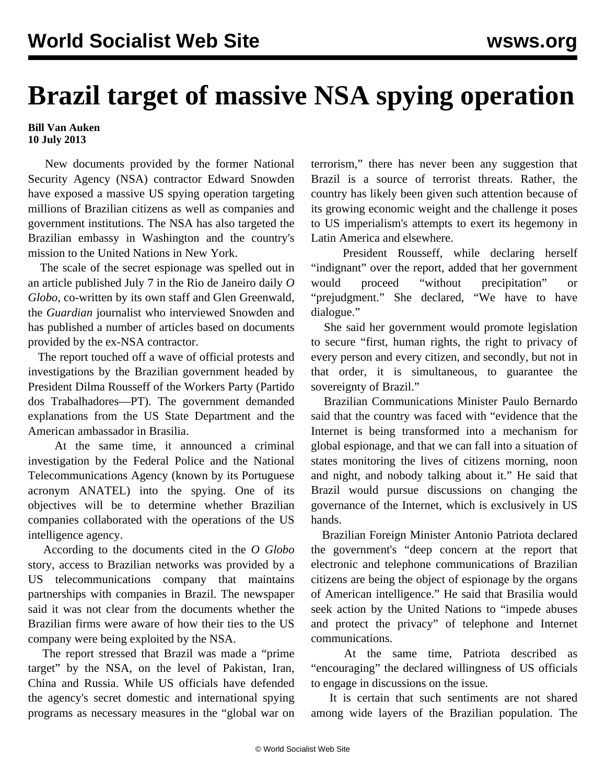## **Brazil target of massive NSA spying operation**

## **Bill Van Auken 10 July 2013**

 New documents provided by the former National Security Agency (NSA) contractor Edward Snowden have exposed a massive US spying operation targeting millions of Brazilian citizens as well as companies and government institutions. The NSA has also targeted the Brazilian embassy in Washington and the country's mission to the United Nations in New York.

 The scale of the secret espionage was spelled out in an article published July 7 in the Rio de Janeiro daily *O Globo*, co-written by its own staff and Glen Greenwald, the *Guardian* journalist who interviewed Snowden and has published a number of articles based on documents provided by the ex-NSA contractor.

 The report touched off a wave of official protests and investigations by the Brazilian government headed by President Dilma Rousseff of the Workers Party (Partido dos Trabalhadores—PT). The government demanded explanations from the US State Department and the American ambassador in Brasilia.

 At the same time, it announced a criminal investigation by the Federal Police and the National Telecommunications Agency (known by its Portuguese acronym ANATEL) into the spying. One of its objectives will be to determine whether Brazilian companies collaborated with the operations of the US intelligence agency.

 According to the documents cited in the *O Globo* story, access to Brazilian networks was provided by a US telecommunications company that maintains partnerships with companies in Brazil. The newspaper said it was not clear from the documents whether the Brazilian firms were aware of how their ties to the US company were being exploited by the NSA.

 The report stressed that Brazil was made a "prime target" by the NSA, on the level of Pakistan, Iran, China and Russia. While US officials have defended the agency's secret domestic and international spying programs as necessary measures in the "global war on

terrorism," there has never been any suggestion that Brazil is a source of terrorist threats. Rather, the country has likely been given such attention because of its growing economic weight and the challenge it poses to US imperialism's attempts to exert its hegemony in Latin America and elsewhere.

 President Rousseff, while declaring herself "indignant" over the report, added that her government would proceed "without precipitation" or "prejudgment." She declared, "We have to have dialogue."

 She said her government would promote legislation to secure "first, human rights, the right to privacy of every person and every citizen, and secondly, but not in that order, it is simultaneous, to guarantee the sovereignty of Brazil."

 Brazilian Communications Minister Paulo Bernardo said that the country was faced with "evidence that the Internet is being transformed into a mechanism for global espionage, and that we can fall into a situation of states monitoring the lives of citizens morning, noon and night, and nobody talking about it." He said that Brazil would pursue discussions on changing the governance of the Internet, which is exclusively in US hands.

 Brazilian Foreign Minister Antonio Patriota declared the government's "deep concern at the report that electronic and telephone communications of Brazilian citizens are being the object of espionage by the organs of American intelligence." He said that Brasilia would seek action by the United Nations to "impede abuses and protect the privacy" of telephone and Internet communications.

 At the same time, Patriota described as "encouraging" the declared willingness of US officials to engage in discussions on the issue.

 It is certain that such sentiments are not shared among wide layers of the Brazilian population. The